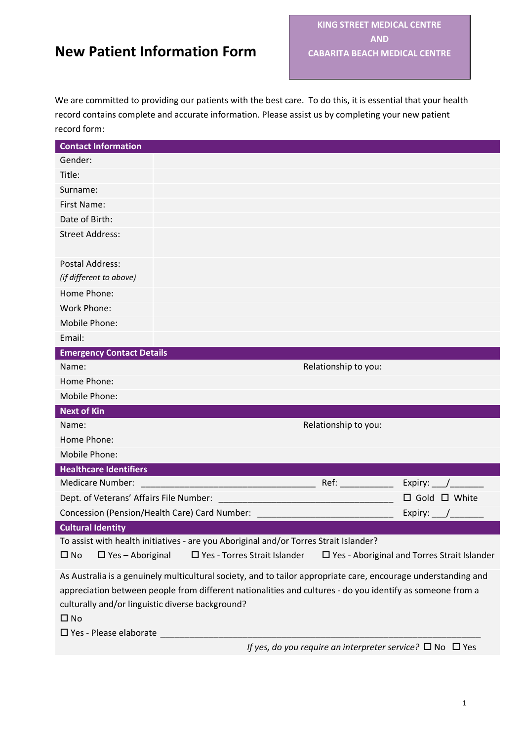We are committed to providing our patients with the best care. To do this, it is essential that your health record contains complete and accurate information. Please assist us by completing your new patient record form:

| <b>Contact Information</b>                                                                                                                                                                                                                                                                      |                                                                                       |                      |                                                       |
|-------------------------------------------------------------------------------------------------------------------------------------------------------------------------------------------------------------------------------------------------------------------------------------------------|---------------------------------------------------------------------------------------|----------------------|-------------------------------------------------------|
| Gender:                                                                                                                                                                                                                                                                                         |                                                                                       |                      |                                                       |
| Title:                                                                                                                                                                                                                                                                                          |                                                                                       |                      |                                                       |
| Surname:                                                                                                                                                                                                                                                                                        |                                                                                       |                      |                                                       |
| <b>First Name:</b>                                                                                                                                                                                                                                                                              |                                                                                       |                      |                                                       |
| Date of Birth:                                                                                                                                                                                                                                                                                  |                                                                                       |                      |                                                       |
| <b>Street Address:</b>                                                                                                                                                                                                                                                                          |                                                                                       |                      |                                                       |
| Postal Address:                                                                                                                                                                                                                                                                                 |                                                                                       |                      |                                                       |
| (if different to above)                                                                                                                                                                                                                                                                         |                                                                                       |                      |                                                       |
| Home Phone:                                                                                                                                                                                                                                                                                     |                                                                                       |                      |                                                       |
| <b>Work Phone:</b>                                                                                                                                                                                                                                                                              |                                                                                       |                      |                                                       |
| Mobile Phone:                                                                                                                                                                                                                                                                                   |                                                                                       |                      |                                                       |
| Email:                                                                                                                                                                                                                                                                                          |                                                                                       |                      |                                                       |
| <b>Emergency Contact Details</b>                                                                                                                                                                                                                                                                |                                                                                       |                      |                                                       |
| Name:                                                                                                                                                                                                                                                                                           |                                                                                       | Relationship to you: |                                                       |
| Home Phone:                                                                                                                                                                                                                                                                                     |                                                                                       |                      |                                                       |
| Mobile Phone:                                                                                                                                                                                                                                                                                   |                                                                                       |                      |                                                       |
| <b>Next of Kin</b>                                                                                                                                                                                                                                                                              |                                                                                       |                      |                                                       |
| Name:                                                                                                                                                                                                                                                                                           |                                                                                       | Relationship to you: |                                                       |
| Home Phone:                                                                                                                                                                                                                                                                                     |                                                                                       |                      |                                                       |
| Mobile Phone:                                                                                                                                                                                                                                                                                   |                                                                                       |                      |                                                       |
| <b>Healthcare Identifiers</b>                                                                                                                                                                                                                                                                   |                                                                                       |                      |                                                       |
| <b>Medicare Number:</b>                                                                                                                                                                                                                                                                         | <u> 1990 - Johann Barbara, martxa</u>                                                 | Ref:                 | Expiry: $\_\_$                                        |
| Dept. of Veterans' Affairs File Number:                                                                                                                                                                                                                                                         |                                                                                       |                      | $\Box$ Gold $\Box$ White                              |
|                                                                                                                                                                                                                                                                                                 | Concession (Pension/Health Care) Card Number:                                         |                      | Expiry:                                               |
| <b>Cultural Identity</b>                                                                                                                                                                                                                                                                        |                                                                                       |                      |                                                       |
|                                                                                                                                                                                                                                                                                                 | To assist with health initiatives - are you Aboriginal and/or Torres Strait Islander? |                      |                                                       |
| $\square$ No<br>$\Box$ Yes - Aboriginal                                                                                                                                                                                                                                                         | □ Yes - Torres Strait Islander                                                        |                      | $\square$ Yes - Aboriginal and Torres Strait Islander |
| As Australia is a genuinely multicultural society, and to tailor appropriate care, encourage understanding and<br>appreciation between people from different nationalities and cultures - do you identify as someone from a<br>culturally and/or linguistic diverse background?<br>$\square$ No |                                                                                       |                      |                                                       |
|                                                                                                                                                                                                                                                                                                 |                                                                                       |                      |                                                       |

*If yes, do you require an interpreter service?* □ No □ Yes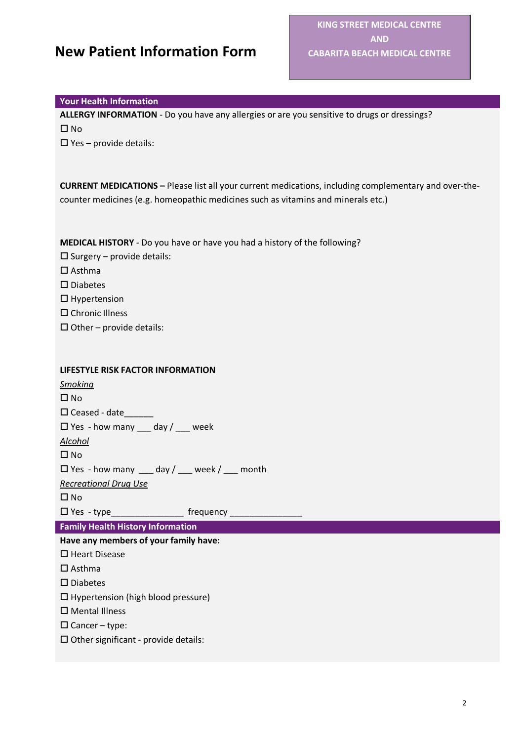#### **Your Health Information**

**ALLERGY INFORMATION** - Do you have any allergies or are you sensitive to drugs or dressings?  $\square$  No

 $\Box$  Yes – provide details:

**CURRENT MEDICATIONS –** Please list all your current medications, including complementary and over-thecounter medicines (e.g. homeopathic medicines such as vitamins and minerals etc.)

**MEDICAL HISTORY** - Do you have or have you had a history of the following?

- $\square$  Surgery provide details:
- $\square$  Asthma
- $\square$  Diabetes
- $\Box$  Hypertension
- □ Chronic Illness
- $\Box$  Other provide details:

#### **LIFESTYLE RISK FACTOR INFORMATION**

*Smoking*   $\square$  No  $\square$  Ceased - date Yes - how many \_\_\_ day / \_\_\_ week *Alcohol*   $\square$  No Yes - how many \_\_\_ day / \_\_\_ week / \_\_\_ month *Recreational Drug Use*   $\square$  No  $\Box$  Yes - type frequency **Family Health History Information Have any members of your family have:**   $\square$  Heart Disease  $\square$  Asthma  $\square$  Diabetes  $\Box$  Hypertension (high blood pressure) Mental Illness  $\Box$  Cancer – type:  $\square$  Other significant - provide details: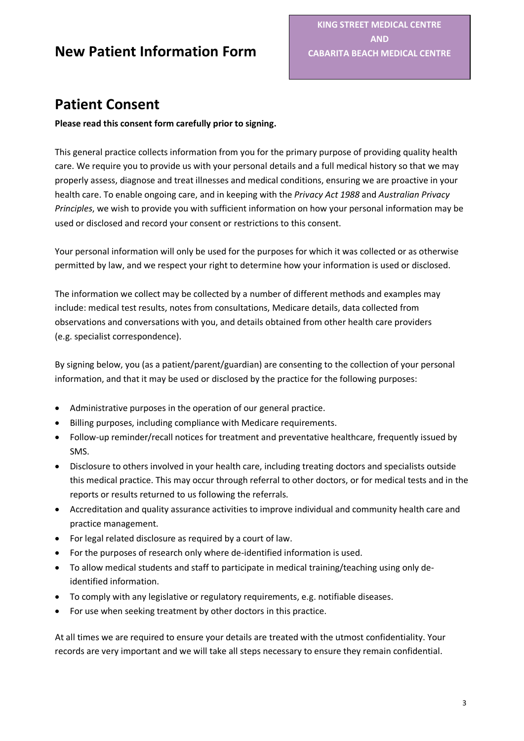## **Patient Consent**

### **Please read this consent form carefully prior to signing.**

This general practice collects information from you for the primary purpose of providing quality health care. We require you to provide us with your personal details and a full medical history so that we may properly assess, diagnose and treat illnesses and medical conditions, ensuring we are proactive in your health care. To enable ongoing care, and in keeping with the *Privacy Act 1988* and *Australian Privacy Principles*, we wish to provide you with sufficient information on how your personal information may be used or disclosed and record your consent or restrictions to this consent.

Your personal information will only be used for the purposes for which it was collected or as otherwise permitted by law, and we respect your right to determine how your information is used or disclosed.

The information we collect may be collected by a number of different methods and examples may include: medical test results, notes from consultations, Medicare details, data collected from observations and conversations with you, and details obtained from other health care providers (e.g. specialist correspondence).

By signing below, you (as a patient/parent/guardian) are consenting to the collection of your personal information, and that it may be used or disclosed by the practice for the following purposes:

- Administrative purposes in the operation of our general practice.
- Billing purposes, including compliance with Medicare requirements.
- Follow-up reminder/recall notices for treatment and preventative healthcare, frequently issued by SMS.
- Disclosure to others involved in your health care, including treating doctors and specialists outside this medical practice. This may occur through referral to other doctors, or for medical tests and in the reports or results returned to us following the referrals.
- Accreditation and quality assurance activities to improve individual and community health care and practice management.
- For legal related disclosure as required by a court of law.
- For the purposes of research only where de-identified information is used.
- To allow medical students and staff to participate in medical training/teaching using only deidentified information.
- To comply with any legislative or regulatory requirements, e.g. notifiable diseases.
- For use when seeking treatment by other doctors in this practice.

At all times we are required to ensure your details are treated with the utmost confidentiality. Your records are very important and we will take all steps necessary to ensure they remain confidential.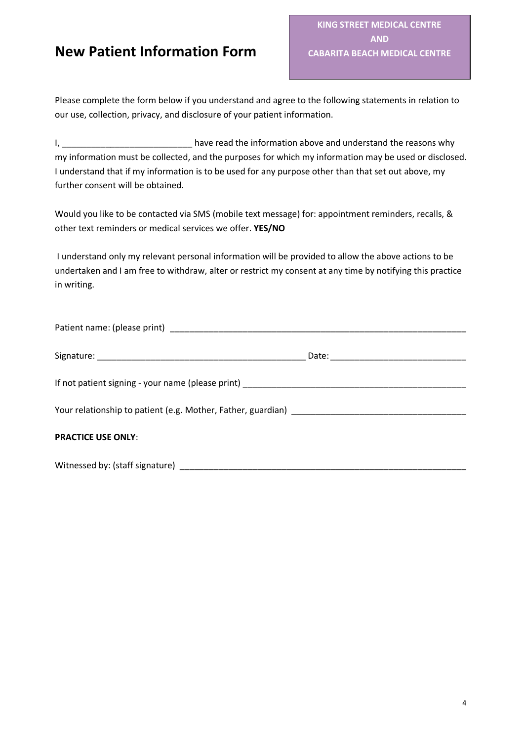Please complete the form below if you understand and agree to the following statements in relation to our use, collection, privacy, and disclosure of your patient information.

I, \_\_\_\_\_\_\_\_\_\_\_\_\_\_\_\_\_\_\_\_\_\_\_\_\_\_\_ have read the information above and understand the reasons why my information must be collected, and the purposes for which my information may be used or disclosed. I understand that if my information is to be used for any purpose other than that set out above, my further consent will be obtained.

Would you like to be contacted via SMS (mobile text message) for: appointment reminders, recalls, & other text reminders or medical services we offer. **YES/NO**

I understand only my relevant personal information will be provided to allow the above actions to be undertaken and I am free to withdraw, alter or restrict my consent at any time by notifying this practice in writing.

| <b>PRACTICE USE ONLY:</b> |  |
|---------------------------|--|
|                           |  |